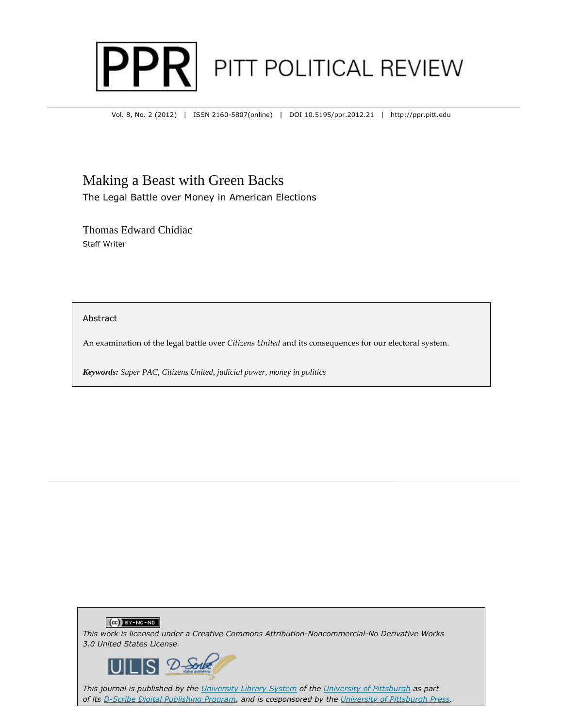

Vol. 8, No. 2 (2012) | ISSN 2160-5807(online) | DOI 10.5195/ppr.2012.21 | http://ppr.pitt.edu

## Making a Beast with Green Backs

The Legal Battle over Money in American Elections

Thomas Edward Chidiac Staff Writer

Abstract

An examination of the legal battle over *Citizens United* and its consequences for our electoral system.

*Keywords: Super PAC, Citizens United, judicial power, money in politics*





*This journal is published by the University Library System of the University of Pittsburgh as part of its D-Scribe Digital Publishing Program, and is cosponsored by the University of Pittsburgh Press.*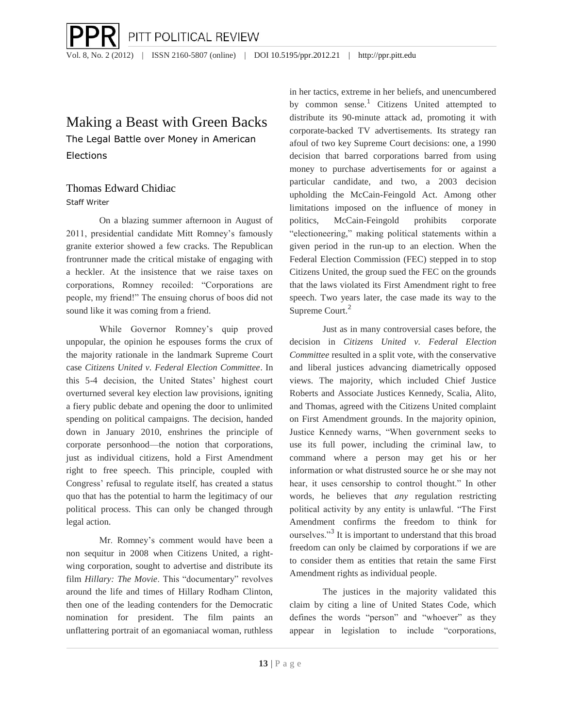# Making a Beast with Green Backs

The Legal Battle over Money in American Elections

## Thomas Edward Chidiac

Staff Writer

On a blazing summer afternoon in August of 2011, presidential candidate Mitt Romney's famously granite exterior showed a few cracks. The Republican frontrunner made the critical mistake of engaging with a heckler. At the insistence that we raise taxes on corporations, Romney recoiled: "Corporations are people, my friend!" The ensuing chorus of boos did not sound like it was coming from a friend.

While Governor Romney's quip proved unpopular, the opinion he espouses forms the crux of the majority rationale in the landmark Supreme Court case *Citizens United v. Federal Election Committee*. In this 5-4 decision, the United States' highest court overturned several key election law provisions, igniting a fiery public debate and opening the door to unlimited spending on political campaigns. The decision, handed down in January 2010, enshrines the principle of corporate personhood—the notion that corporations, just as individual citizens, hold a First Amendment right to free speech. This principle, coupled with Congress' refusal to regulate itself, has created a status quo that has the potential to harm the legitimacy of our political process. This can only be changed through legal action.

Mr. Romney's comment would have been a non sequitur in 2008 when Citizens United, a rightwing corporation, sought to advertise and distribute its film *Hillary: The Movie*. This "documentary" revolves around the life and times of Hillary Rodham Clinton, then one of the leading contenders for the Democratic nomination for president. The film paints an unflattering portrait of an egomaniacal woman, ruthless

in her tactics, extreme in her beliefs, and unencumbered by common sense.<sup>1</sup> Citizens United attempted to distribute its 90-minute attack ad, promoting it with corporate-backed TV advertisements. Its strategy ran afoul of two key Supreme Court decisions: one, a 1990 decision that barred corporations barred from using money to purchase advertisements for or against a particular candidate, and two, a 2003 decision upholding the McCain-Feingold Act. Among other limitations imposed on the influence of money in politics, McCain-Feingold prohibits corporate "electioneering," making political statements within a given period in the run-up to an election. When the Federal Election Commission (FEC) stepped in to stop Citizens United, the group sued the FEC on the grounds that the laws violated its First Amendment right to free speech. Two years later, the case made its way to the Supreme Court.<sup>2</sup>

Just as in many controversial cases before, the decision in *Citizens United v. Federal Election Committee* resulted in a split vote, with the conservative and liberal justices advancing diametrically opposed views. The majority, which included Chief Justice Roberts and Associate Justices Kennedy, Scalia, Alito, and Thomas, agreed with the Citizens United complaint on First Amendment grounds. In the majority opinion, Justice Kennedy warns, "When government seeks to use its full power, including the criminal law, to command where a person may get his or her information or what distrusted source he or she may not hear, it uses censorship to control thought." In other words, he believes that *any* regulation restricting political activity by any entity is unlawful. "The First Amendment confirms the freedom to think for ourselves."<sup>3</sup> It is important to understand that this broad freedom can only be claimed by corporations if we are to consider them as entities that retain the same First Amendment rights as individual people.

The justices in the majority validated this claim by citing a line of United States Code, which defines the words "person" and "whoever" as they appear in legislation to include "corporations,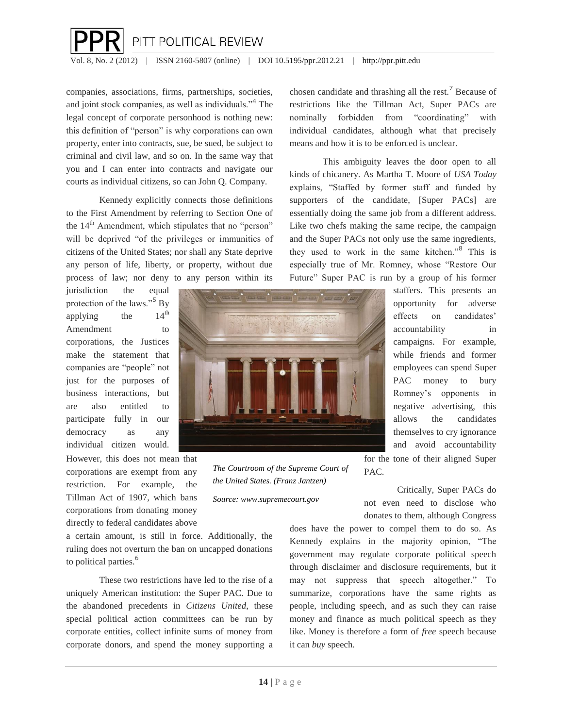

companies, associations, firms, partnerships, societies, and joint stock companies, as well as individuals."<sup>4</sup> The legal concept of corporate personhood is nothing new: this definition of "person" is why corporations can own property, enter into contracts, sue, be sued, be subject to criminal and civil law, and so on. In the same way that you and I can enter into contracts and navigate our courts as individual citizens, so can John Q. Company.

Kennedy explicitly connects those definitions to the First Amendment by referring to Section One of the  $14<sup>th</sup>$  Amendment, which stipulates that no "person" will be deprived "of the privileges or immunities of citizens of the United States; nor shall any State deprive any person of life, liberty, or property, without due process of law; nor deny to any person within its

jurisdiction the equal protection of the laws."<sup>5</sup> By<br>applying the  $14<sup>th</sup>$ applying the Amendment to corporations, the Justices make the statement that companies are "people" not just for the purposes of business interactions, but are also entitled to participate fully in our democracy as any individual citizen would.

However, this does not mean that corporations are exempt from any restriction. For example, the Tillman Act of 1907, which bans corporations from donating money directly to federal candidates above

a certain amount, is still in force. Additionally, the ruling does not overturn the ban on uncapped donations to political parties.<sup>6</sup>

These two restrictions have led to the rise of a uniquely American institution: the Super PAC. Due to the abandoned precedents in *Citizens United*, these special political action committees can be run by corporate entities, collect infinite sums of money from corporate donors, and spend the money supporting a chosen candidate and thrashing all the rest.<sup>7</sup> Because of restrictions like the Tillman Act, Super PACs are nominally forbidden from "coordinating" with individual candidates, although what that precisely means and how it is to be enforced is unclear.

This ambiguity leaves the door open to all kinds of chicanery. As Martha T. Moore of *USA Today* explains, "Staffed by former staff and funded by supporters of the candidate, [Super PACs] are essentially doing the same job from a different address. Like two chefs making the same recipe, the campaign and the Super PACs not only use the same ingredients, they used to work in the same kitchen."<sup>8</sup> This is especially true of Mr. Romney, whose "Restore Our Future" Super PAC is run by a group of his former



*The Courtroom of the Supreme Court of the United States. (Franz Jantzen)*

*Source: www.supremecourt.gov*

staffers. This presents an opportunity for adverse effects on candidates' accountability in campaigns. For example, while friends and former employees can spend Super PAC money to bury Romney's opponents in negative advertising, this allows the candidates themselves to cry ignorance and avoid accountability for the tone of their aligned Super

Critically, Super PACs do not even need to disclose who donates to them, although Congress

does have the power to compel them to do so. As Kennedy explains in the majority opinion, "The government may regulate corporate political speech through disclaimer and disclosure requirements, but it may not suppress that speech altogether." To summarize, corporations have the same rights as people, including speech, and as such they can raise money and finance as much political speech as they like. Money is therefore a form of *free* speech because it can *buy* speech.

PAC.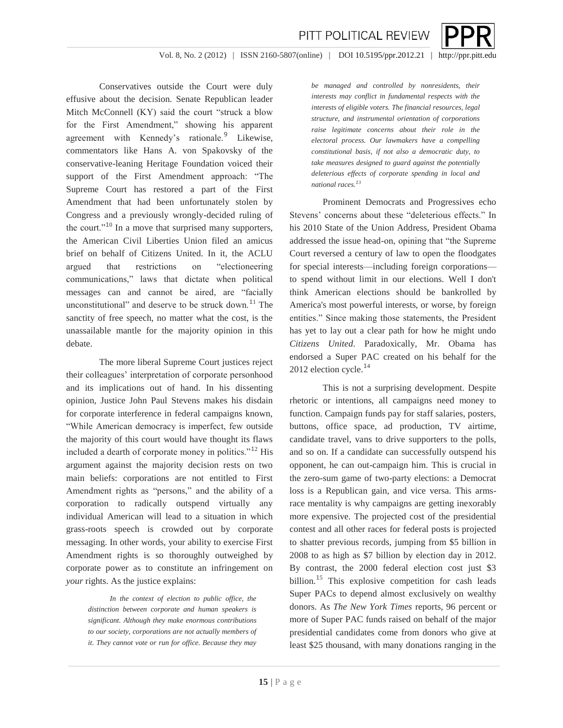

Conservatives outside the Court were duly effusive about the decision. Senate Republican leader Mitch McConnell (KY) said the court "struck a blow for the First Amendment," showing his apparent agreement with Kennedy's rationale.<sup>9</sup> Likewise, commentators like Hans A. von Spakovsky of the conservative-leaning Heritage Foundation voiced their support of the First Amendment approach: "The Supreme Court has restored a part of the First Amendment that had been unfortunately stolen by Congress and a previously wrongly-decided ruling of the court."<sup>10</sup> In a move that surprised many supporters, the American Civil Liberties Union filed an amicus brief on behalf of Citizens United. In it, the ACLU argued that restrictions on "electioneering communications," laws that dictate when political messages can and cannot be aired, are "facially unconstitutional" and deserve to be struck down. $11$  The sanctity of free speech, no matter what the cost, is the unassailable mantle for the majority opinion in this debate.

The more liberal Supreme Court justices reject their colleagues' interpretation of corporate personhood and its implications out of hand. In his dissenting opinion, Justice John Paul Stevens makes his disdain for corporate interference in federal campaigns known, "While American democracy is imperfect, few outside the majority of this court would have thought its flaws included a dearth of corporate money in politics."<sup>12</sup> His argument against the majority decision rests on two main beliefs: corporations are not entitled to First Amendment rights as "persons," and the ability of a corporation to radically outspend virtually any individual American will lead to a situation in which grass-roots speech is crowded out by corporate messaging. In other words, your ability to exercise First Amendment rights is so thoroughly outweighed by corporate power as to constitute an infringement on *your* rights. As the justice explains:

> *In the context of election to public office, the distinction between corporate and human speakers is significant. Although they make enormous contributions to our society, corporations are not actually members of it. They cannot vote or run for office. Because they may*

*be managed and controlled by nonresidents, their interests may conflict in fundamental respects with the interests of eligible voters. The financial resources, legal structure, and instrumental orientation of corporations raise legitimate concerns about their role in the electoral process. Our lawmakers have a compelling constitutional basis, if not also a democratic duty, to take measures designed to guard against the potentially deleterious effects of corporate spending in local and national races.<sup>1</sup><sup>3</sup>*

PITT POLITICAL REVIEW

Prominent Democrats and Progressives echo Stevens' concerns about these "deleterious effects." In his 2010 State of the Union Address, President Obama addressed the issue head-on, opining that "the Supreme Court reversed a century of law to open the floodgates for special interests—including foreign corporations to spend without limit in our elections. Well I don't think American elections should be bankrolled by America's most powerful interests, or worse, by foreign entities." Since making those statements, the President has yet to lay out a clear path for how he might undo *Citizens United*. Paradoxically, Mr. Obama has endorsed a Super PAC created on his behalf for the 2012 election cycle.<sup>14</sup>

This is not a surprising development. Despite rhetoric or intentions, all campaigns need money to function. Campaign funds pay for staff salaries, posters, buttons, office space, ad production, TV airtime, candidate travel, vans to drive supporters to the polls, and so on. If a candidate can successfully outspend his opponent, he can out-campaign him. This is crucial in the zero-sum game of two-party elections: a Democrat loss is a Republican gain, and vice versa. This armsrace mentality is why campaigns are getting inexorably more expensive. The projected cost of the presidential contest and all other races for federal posts is projected to shatter previous records, jumping from \$5 billion in 2008 to as high as \$7 billion by election day in 2012. By contrast, the 2000 federal election cost just \$3 billion.<sup>15</sup> This explosive competition for cash leads Super PACs to depend almost exclusively on wealthy donors. As *The New York Times* reports, 96 percent or more of Super PAC funds raised on behalf of the major presidential candidates come from donors who give at least \$25 thousand, with many donations ranging in the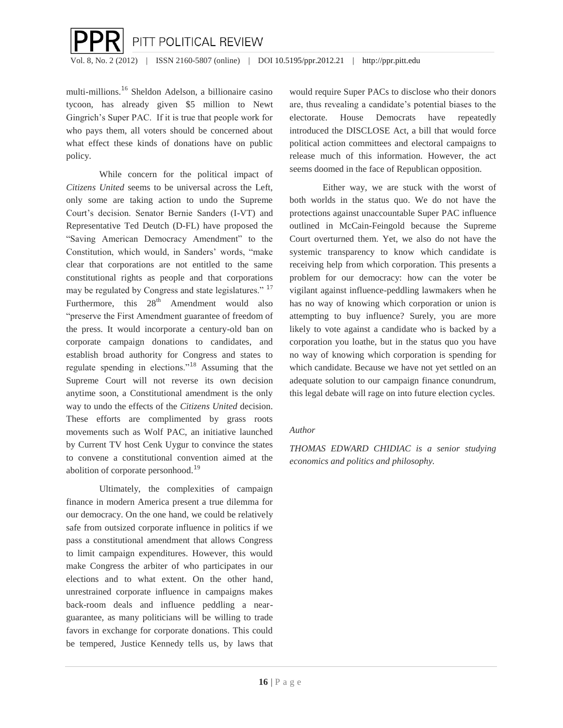

multi-millions.<sup>1</sup><sup>6</sup> Sheldon Adelson, a billionaire casino tycoon, has already given \$5 million to Newt Gingrich's Super PAC. If it is true that people work for who pays them, all voters should be concerned about what effect these kinds of donations have on public policy.

While concern for the political impact of *Citizens United* seems to be universal across the Left, only some are taking action to undo the Supreme Court's decision. Senator Bernie Sanders (I-VT) and Representative Ted Deutch (D-FL) have proposed the "Saving American Democracy Amendment" to the Constitution, which would, in Sanders' words, "make clear that corporations are not entitled to the same constitutional rights as people and that corporations may be regulated by Congress and state legislatures."<sup>17</sup> Furthermore, this  $28<sup>th</sup>$  Amendment would also "preserve the First Amendment guarantee of freedom of the press. It would incorporate a century-old ban on corporate campaign donations to candidates, and establish broad authority for Congress and states to regulate spending in elections."<sup>1</sup><sup>8</sup> Assuming that the Supreme Court will not reverse its own decision anytime soon, a Constitutional amendment is the only way to undo the effects of the *Citizens United* decision. These efforts are complimented by grass roots movements such as Wolf PAC, an initiative launched by Current TV host Cenk Uygur to convince the states to convene a constitutional convention aimed at the abolition of corporate personhood.<sup>19</sup>

Ultimately, the complexities of campaign finance in modern America present a true dilemma for our democracy. On the one hand, we could be relatively safe from outsized corporate influence in politics if we pass a constitutional amendment that allows Congress to limit campaign expenditures. However, this would make Congress the arbiter of who participates in our elections and to what extent. On the other hand, unrestrained corporate influence in campaigns makes back-room deals and influence peddling a nearguarantee, as many politicians will be willing to trade favors in exchange for corporate donations. This could be tempered, Justice Kennedy tells us, by laws that

would require Super PACs to disclose who their donors are, thus revealing a candidate's potential biases to the electorate. House Democrats have repeatedly introduced the DISCLOSE Act, a bill that would force political action committees and electoral campaigns to release much of this information. However, the act seems doomed in the face of Republican opposition.

Either way, we are stuck with the worst of both worlds in the status quo. We do not have the protections against unaccountable Super PAC influence outlined in McCain-Feingold because the Supreme Court overturned them. Yet, we also do not have the systemic transparency to know which candidate is receiving help from which corporation. This presents a problem for our democracy: how can the voter be vigilant against influence-peddling lawmakers when he has no way of knowing which corporation or union is attempting to buy influence? Surely, you are more likely to vote against a candidate who is backed by a corporation you loathe, but in the status quo you have no way of knowing which corporation is spending for which candidate. Because we have not yet settled on an adequate solution to our campaign finance conundrum, this legal debate will rage on into future election cycles.

#### *Author*

*THOMAS EDWARD CHIDIAC is a senior studying economics and politics and philosophy.*